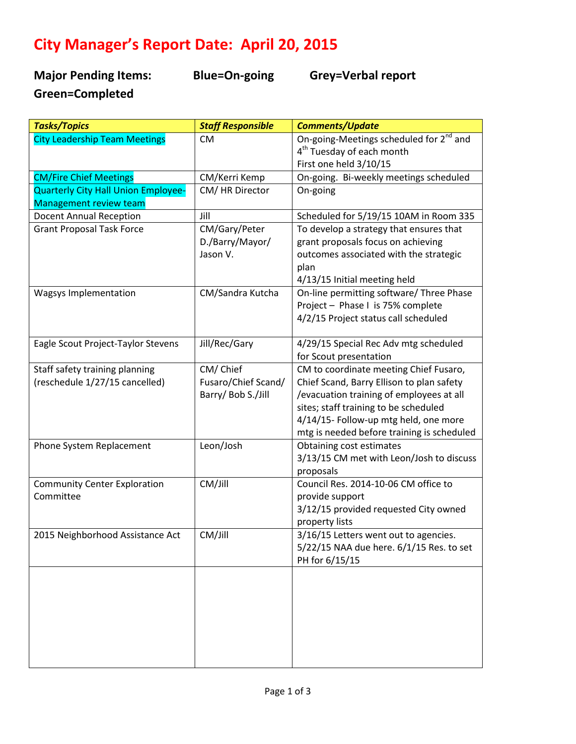## **City Manager's Report Date: April 20, 2015**

**Major Pending Items: Blue=On-going Grey=Verbal report Green=Completed** 

| <b>Tasks/Topics</b>                  | <b>Staff Responsible</b> | <b>Comments/Update</b>                              |
|--------------------------------------|--------------------------|-----------------------------------------------------|
| <b>City Leadership Team Meetings</b> | <b>CM</b>                | On-going-Meetings scheduled for 2 <sup>nd</sup> and |
|                                      |                          | 4 <sup>th</sup> Tuesday of each month               |
|                                      |                          | First one held 3/10/15                              |
| <b>CM/Fire Chief Meetings</b>        | CM/Kerri Kemp            | On-going. Bi-weekly meetings scheduled              |
| Quarterly City Hall Union Employee-  | CM/HR Director           | On-going                                            |
| <b>Management review team</b>        |                          |                                                     |
| <b>Docent Annual Reception</b>       | Jill                     | Scheduled for 5/19/15 10AM in Room 335              |
| <b>Grant Proposal Task Force</b>     | CM/Gary/Peter            | To develop a strategy that ensures that             |
|                                      | D./Barry/Mayor/          | grant proposals focus on achieving                  |
|                                      | Jason V.                 | outcomes associated with the strategic              |
|                                      |                          | plan                                                |
|                                      |                          | 4/13/15 Initial meeting held                        |
| Wagsys Implementation                | CM/Sandra Kutcha         | On-line permitting software/ Three Phase            |
|                                      |                          | Project - Phase I is 75% complete                   |
|                                      |                          | 4/2/15 Project status call scheduled                |
|                                      |                          |                                                     |
| Eagle Scout Project-Taylor Stevens   | Jill/Rec/Gary            | 4/29/15 Special Rec Adv mtg scheduled               |
|                                      |                          | for Scout presentation                              |
| Staff safety training planning       | CM/Chief                 | CM to coordinate meeting Chief Fusaro,              |
| (reschedule 1/27/15 cancelled)       | Fusaro/Chief Scand/      | Chief Scand, Barry Ellison to plan safety           |
|                                      | Barry/ Bob S./Jill       | /evacuation training of employees at all            |
|                                      |                          | sites; staff training to be scheduled               |
|                                      |                          | 4/14/15- Follow-up mtg held, one more               |
|                                      |                          | mtg is needed before training is scheduled          |
| Phone System Replacement             | Leon/Josh                | Obtaining cost estimates                            |
|                                      |                          | 3/13/15 CM met with Leon/Josh to discuss            |
|                                      |                          | proposals                                           |
| <b>Community Center Exploration</b>  | CM/Jill                  | Council Res. 2014-10-06 CM office to                |
| Committee                            |                          | provide support                                     |
|                                      |                          | 3/12/15 provided requested City owned               |
|                                      |                          | property lists                                      |
| 2015 Neighborhood Assistance Act     | CM/Jill                  | 3/16/15 Letters went out to agencies.               |
|                                      |                          | 5/22/15 NAA due here. 6/1/15 Res. to set            |
|                                      |                          | PH for 6/15/15                                      |
|                                      |                          |                                                     |
|                                      |                          |                                                     |
|                                      |                          |                                                     |
|                                      |                          |                                                     |
|                                      |                          |                                                     |
|                                      |                          |                                                     |
|                                      |                          |                                                     |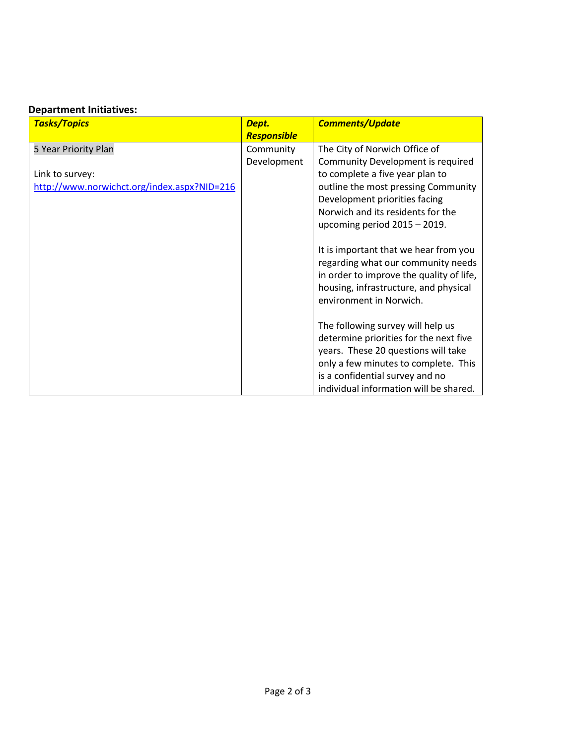## **Department Initiatives:**

| <b>Tasks/Topics</b>                         | Dept.       | <b>Comments/Update</b>                                           |
|---------------------------------------------|-------------|------------------------------------------------------------------|
|                                             | Responsible |                                                                  |
| 5 Year Priority Plan                        | Community   | The City of Norwich Office of                                    |
|                                             | Development | Community Development is required                                |
| Link to survey:                             |             | to complete a five year plan to                                  |
| http://www.norwichct.org/index.aspx?NID=216 |             | outline the most pressing Community                              |
|                                             |             | Development priorities facing                                    |
|                                             |             | Norwich and its residents for the                                |
|                                             |             | upcoming period $2015 - 2019$ .                                  |
|                                             |             |                                                                  |
|                                             |             | It is important that we hear from you                            |
|                                             |             | regarding what our community needs                               |
|                                             |             | in order to improve the quality of life,                         |
|                                             |             | housing, infrastructure, and physical<br>environment in Norwich. |
|                                             |             |                                                                  |
|                                             |             | The following survey will help us                                |
|                                             |             | determine priorities for the next five                           |
|                                             |             | years. These 20 questions will take                              |
|                                             |             | only a few minutes to complete. This                             |
|                                             |             | is a confidential survey and no                                  |
|                                             |             | individual information will be shared.                           |